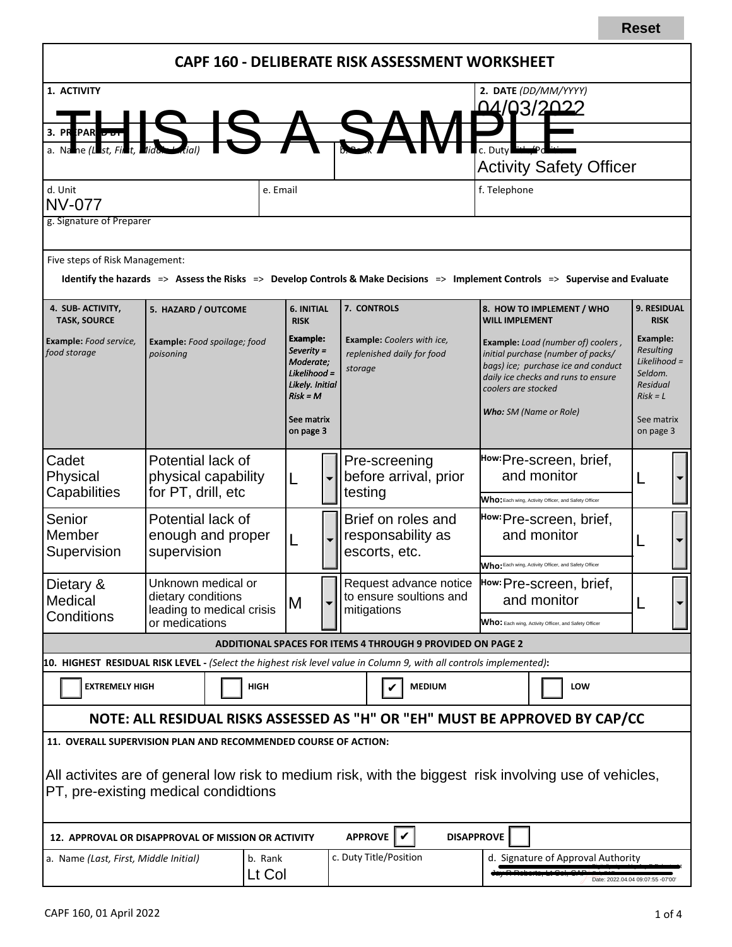|                                                                                                                                                |                                                                   |                    |                    |                                                     |                                                   |                                  |                                                                            |             | CAPF 160 - DELIBERATE RISK ASSESSMENT WORKSHEET                   |                                                      |                                                                                                                                                        |                                                                                                                                                                           |            |                                                  |  |
|------------------------------------------------------------------------------------------------------------------------------------------------|-------------------------------------------------------------------|--------------------|--------------------|-----------------------------------------------------|---------------------------------------------------|----------------------------------|----------------------------------------------------------------------------|-------------|-------------------------------------------------------------------|------------------------------------------------------|--------------------------------------------------------------------------------------------------------------------------------------------------------|---------------------------------------------------------------------------------------------------------------------------------------------------------------------------|------------|--------------------------------------------------|--|
| 1. ACTIVITY                                                                                                                                    |                                                                   |                    |                    |                                                     |                                                   |                                  |                                                                            |             |                                                                   |                                                      |                                                                                                                                                        | 2. DATE (DD/MM/YYYY)                                                                                                                                                      |            |                                                  |  |
|                                                                                                                                                |                                                                   |                    |                    |                                                     |                                                   |                                  |                                                                            |             |                                                                   |                                                      |                                                                                                                                                        | <u>04/03/2022</u>                                                                                                                                                         |            |                                                  |  |
| 3. PR PAR DON                                                                                                                                  |                                                                   |                    |                    |                                                     |                                                   |                                  |                                                                            |             |                                                                   |                                                      |                                                                                                                                                        |                                                                                                                                                                           |            |                                                  |  |
|                                                                                                                                                |                                                                   |                    |                    |                                                     |                                                   |                                  |                                                                            |             | <b>Activity Safety Officer</b>                                    |                                                      |                                                                                                                                                        |                                                                                                                                                                           |            |                                                  |  |
|                                                                                                                                                |                                                                   |                    |                    |                                                     |                                                   | f. Telephone                     |                                                                            |             |                                                                   |                                                      |                                                                                                                                                        |                                                                                                                                                                           |            |                                                  |  |
| d. Unit<br>e. Email<br><b>NV-077</b>                                                                                                           |                                                                   |                    |                    |                                                     |                                                   |                                  |                                                                            |             |                                                                   |                                                      |                                                                                                                                                        |                                                                                                                                                                           |            |                                                  |  |
| g. Signature of Preparer                                                                                                                       |                                                                   |                    |                    |                                                     |                                                   |                                  |                                                                            |             |                                                                   |                                                      |                                                                                                                                                        |                                                                                                                                                                           |            |                                                  |  |
| Five steps of Risk Management:                                                                                                                 |                                                                   |                    |                    |                                                     |                                                   |                                  |                                                                            |             |                                                                   |                                                      |                                                                                                                                                        |                                                                                                                                                                           |            |                                                  |  |
|                                                                                                                                                |                                                                   |                    |                    |                                                     |                                                   |                                  |                                                                            |             |                                                                   |                                                      |                                                                                                                                                        | Identify the hazards $\Rightarrow$ Assess the Risks $\Rightarrow$ Develop Controls & Make Decisions $\Rightarrow$ Implement Controls $\Rightarrow$ Supervise and Evaluate |            |                                                  |  |
| 4. SUB-ACTIVITY,<br><b>TASK, SOURCE</b>                                                                                                        | 5. HAZARD / OUTCOME                                               |                    |                    | 6. INITIAL<br><b>RISK</b>                           |                                                   |                                  | 7. CONTROLS                                                                |             |                                                                   | <b>WILL IMPLEMENT</b>                                |                                                                                                                                                        | 8. HOW TO IMPLEMENT / WHO                                                                                                                                                 |            | 9. RESIDUAL<br><b>RISK</b>                       |  |
| Example: Food service,<br>food storage                                                                                                         | Example: Food spoilage; food<br>poisoning                         |                    |                    | Example:<br>Severity =<br>Moderate;<br>Likelihood = |                                                   |                                  | <b>Example:</b> Coolers with ice,<br>replenished daily for food<br>storage |             |                                                                   |                                                      | Example: Load (number of) coolers,<br>initial purchase (number of packs/<br>bags) ice; purchase ice and conduct<br>daily ice checks and runs to ensure |                                                                                                                                                                           |            | Example:<br>Resulting<br>Likelihood =<br>Seldom. |  |
|                                                                                                                                                |                                                                   |                    |                    | Likely. Initial<br>$Risk = M$                       |                                                   |                                  |                                                                            |             |                                                                   | coolers are stocked                                  |                                                                                                                                                        |                                                                                                                                                                           |            | Residual<br>$Risk = L$                           |  |
|                                                                                                                                                |                                                                   |                    |                    | See matrix                                          |                                                   |                                  |                                                                            |             |                                                                   |                                                      | <b>Who:</b> SM (Name or Role)                                                                                                                          |                                                                                                                                                                           | See matrix |                                                  |  |
|                                                                                                                                                |                                                                   |                    |                    |                                                     | on page 3                                         |                                  |                                                                            |             |                                                                   |                                                      |                                                                                                                                                        |                                                                                                                                                                           |            | on page 3                                        |  |
| Cadet                                                                                                                                          | Potential lack of<br>physical capability                          |                    |                    |                                                     |                                                   |                                  | Pre-screening                                                              |             |                                                                   | How:Pre-screen, brief,                               |                                                                                                                                                        |                                                                                                                                                                           |            |                                                  |  |
| Physical                                                                                                                                       |                                                                   |                    | L                  |                                                     |                                                   | before arrival, prior<br>testing |                                                                            | and monitor |                                                                   |                                                      |                                                                                                                                                        |                                                                                                                                                                           |            |                                                  |  |
| Capabilities                                                                                                                                   |                                                                   | for PT, drill, etc |                    |                                                     |                                                   |                                  |                                                                            |             |                                                                   | Who: Each wing, Activity Officer, and Safety Officer |                                                                                                                                                        |                                                                                                                                                                           |            |                                                  |  |
| Senior                                                                                                                                         | Potential lack of<br>enough and proper<br>supervision             |                    |                    |                                                     |                                                   | Brief on roles and               |                                                                            |             | How: Pre-screen, brief,                                           |                                                      |                                                                                                                                                        |                                                                                                                                                                           |            |                                                  |  |
| Member<br>Supervision                                                                                                                          |                                                                   |                    | L                  |                                                     |                                                   |                                  | responsability as<br>escorts, etc.                                         |             | and monitor                                                       |                                                      |                                                                                                                                                        |                                                                                                                                                                           |            |                                                  |  |
|                                                                                                                                                |                                                                   |                    |                    |                                                     |                                                   |                                  |                                                                            |             | Who: Each wing, Activity Officer, and Safety Officer              |                                                      |                                                                                                                                                        |                                                                                                                                                                           |            |                                                  |  |
| Unknown medical or<br>Dietary &                                                                                                                |                                                                   |                    |                    |                                                     | Request advance notice<br>to ensure soultions and |                                  | How: Pre-screen, brief,                                                    |             |                                                                   |                                                      |                                                                                                                                                        |                                                                                                                                                                           |            |                                                  |  |
| Medical<br>Conditions                                                                                                                          | dietary conditions<br>leading to medical crisis<br>or medications |                    |                    | ΙM                                                  |                                                   |                                  | mitigations                                                                |             |                                                                   |                                                      |                                                                                                                                                        | and monitor                                                                                                                                                               |            |                                                  |  |
|                                                                                                                                                |                                                                   |                    |                    |                                                     |                                                   |                                  |                                                                            |             | Who: Each wing, Activity Officer, and Safety Officer              |                                                      |                                                                                                                                                        |                                                                                                                                                                           |            |                                                  |  |
|                                                                                                                                                |                                                                   |                    |                    |                                                     |                                                   |                                  |                                                                            |             | <b>ADDITIONAL SPACES FOR ITEMS 4 THROUGH 9 PROVIDED ON PAGE 2</b> |                                                      |                                                                                                                                                        |                                                                                                                                                                           |            |                                                  |  |
| 10. HIGHEST RESIDUAL RISK LEVEL - (Select the highest risk level value in Column 9, with all controls implemented):                            |                                                                   |                    |                    |                                                     |                                                   |                                  |                                                                            |             |                                                                   |                                                      |                                                                                                                                                        |                                                                                                                                                                           |            |                                                  |  |
| <b>EXTREMELY HIGH</b><br><b>HIGH</b>                                                                                                           |                                                                   |                    | <b>MEDIUM</b><br>V |                                                     |                                                   |                                  |                                                                            |             | LOW                                                               |                                                      |                                                                                                                                                        |                                                                                                                                                                           |            |                                                  |  |
|                                                                                                                                                |                                                                   |                    |                    |                                                     |                                                   |                                  |                                                                            |             |                                                                   |                                                      |                                                                                                                                                        | NOTE: ALL RESIDUAL RISKS ASSESSED AS "H" OR "EH" MUST BE APPROVED BY CAP/CC                                                                                               |            |                                                  |  |
| 11. OVERALL SUPERVISION PLAN AND RECOMMENDED COURSE OF ACTION:                                                                                 |                                                                   |                    |                    |                                                     |                                                   |                                  |                                                                            |             |                                                                   |                                                      |                                                                                                                                                        |                                                                                                                                                                           |            |                                                  |  |
|                                                                                                                                                |                                                                   |                    |                    |                                                     |                                                   |                                  |                                                                            |             |                                                                   |                                                      |                                                                                                                                                        |                                                                                                                                                                           |            |                                                  |  |
| All activites are of general low risk to medium risk, with the biggest risk involving use of vehicles,<br>PT, pre-existing medical condidtions |                                                                   |                    |                    |                                                     |                                                   |                                  |                                                                            |             |                                                                   |                                                      |                                                                                                                                                        |                                                                                                                                                                           |            |                                                  |  |
|                                                                                                                                                |                                                                   |                    |                    |                                                     |                                                   |                                  |                                                                            |             |                                                                   |                                                      |                                                                                                                                                        |                                                                                                                                                                           |            |                                                  |  |
| 12. APPROVAL OR DISAPPROVAL OF MISSION OR ACTIVITY                                                                                             |                                                                   |                    |                    |                                                     |                                                   |                                  | APPROVE                                                                    | V           | <b>DISAPPROVE</b>                                                 |                                                      |                                                                                                                                                        |                                                                                                                                                                           |            |                                                  |  |
| a. Name (Last, First, Middle Initial)                                                                                                          |                                                                   |                    | b. Rank            |                                                     |                                                   |                                  | c. Duty Title/Position                                                     |             |                                                                   |                                                      |                                                                                                                                                        | d. Signature of Approval Authority                                                                                                                                        |            |                                                  |  |
| Lt Col                                                                                                                                         |                                                                   |                    |                    |                                                     |                                                   |                                  |                                                                            |             |                                                                   | Date: 2022.04.04 09:07:55 -07'00                     |                                                                                                                                                        |                                                                                                                                                                           |            |                                                  |  |

**Reset**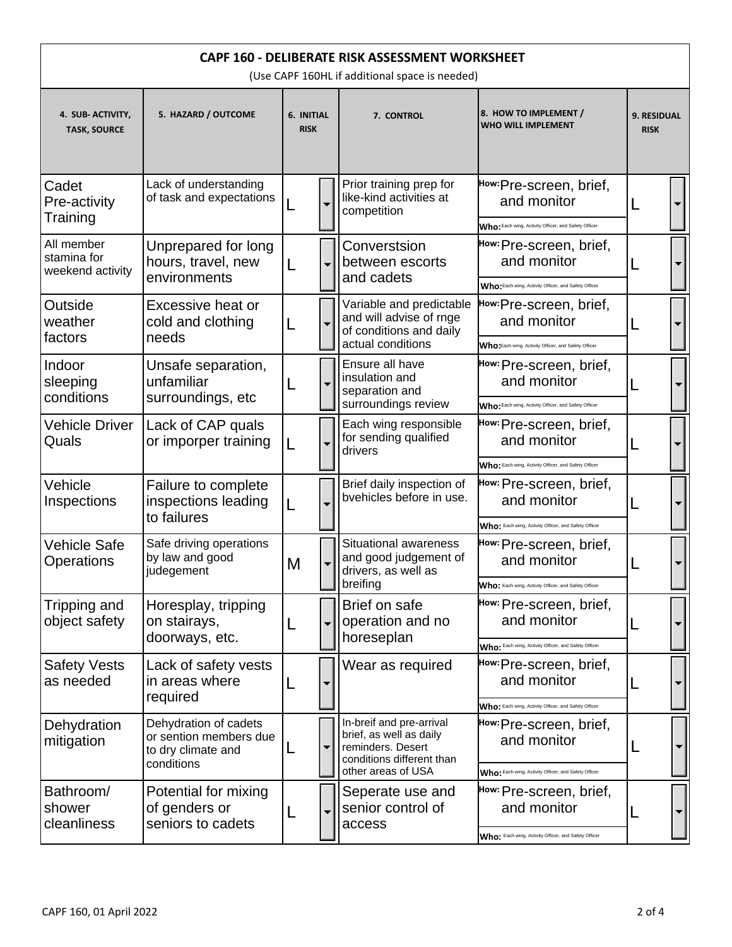| CAPF 160 - DELIBERATE RISK ASSESSMENT WORKSHEET<br>(Use CAPF 160HL if additional space is needed) |                                                                                     |   |  |                                                                                                                             |                                                                                                |                                   |  |  |
|---------------------------------------------------------------------------------------------------|-------------------------------------------------------------------------------------|---|--|-----------------------------------------------------------------------------------------------------------------------------|------------------------------------------------------------------------------------------------|-----------------------------------|--|--|
| 4. SUB-ACTIVITY,<br><b>TASK, SOURCE</b>                                                           | 5. HAZARD / OUTCOME                                                                 |   |  | 7. CONTROL                                                                                                                  | 8. HOW TO IMPLEMENT /<br><b>WHO WILL IMPLEMENT</b>                                             | <b>9. RESIDUAL</b><br><b>RISK</b> |  |  |
| Cadet<br>Pre-activity<br>Training                                                                 | Lack of understanding<br>of task and expectations                                   |   |  | Prior training prep for<br>like-kind activities at<br>competition                                                           | How:Pre-screen, brief,<br>and monitor<br>Who: Each wing, Activity Officer, and Safety Officer  |                                   |  |  |
| All member<br>stamina for<br>weekend activity                                                     | Unprepared for long<br>hours, travel, new<br>environments                           | L |  | Converstsion<br>between escorts<br>and cadets                                                                               | How: Pre-screen, brief,<br>and monitor<br>Who: Each wing, Activity Officer, and Safety Officer | L                                 |  |  |
| Outside<br>weather<br>factors                                                                     | Excessive heat or<br>cold and clothing<br>needs                                     |   |  | Variable and predictable<br>and will advise of rnge<br>of conditions and daily<br>actual conditions                         | How:Pre-screen, brief,<br>and monitor<br>Who Each wing, Activity Officer, and Safety Officer   | L                                 |  |  |
| Indoor<br>sleeping<br>conditions                                                                  | Unsafe separation,<br>unfamiliar<br>surroundings, etc                               |   |  | Ensure all have<br>insulation and<br>separation and<br>surroundings review                                                  | How: Pre-screen, brief,<br>and monitor<br>Who: Each wing, Activity Officer, and Safety Officer |                                   |  |  |
| <b>Vehicle Driver</b><br>Quals                                                                    | Lack of CAP quals<br>or imporper training                                           |   |  | Each wing responsible<br>for sending qualified<br>drivers                                                                   | How: Pre-screen, brief,<br>and monitor<br>Who: Each wing, Activity Officer, and Safety Officer | L                                 |  |  |
| Vehicle<br>Inspections                                                                            | Failure to complete<br>inspections leading<br>to failures                           |   |  | Brief daily inspection of<br>bvehicles before in use.                                                                       | How: Pre-screen, brief,<br>and monitor<br>Who: Each wing, Activity Officer, and Safety Officer |                                   |  |  |
| <b>Vehicle Safe</b><br>Operations                                                                 | Safe driving operations<br>by law and good<br>judegement                            | M |  | <b>Situational awareness</b><br>and good judgement of<br>drivers, as well as<br>breifing                                    | How: Pre-screen, brief,<br>and monitor<br>Who: Each wing, Activity Officer, and Safety Officer |                                   |  |  |
| Tripping and<br>object safety                                                                     | Horesplay, tripping<br>on stairays,<br>doorways, etc.                               |   |  | Brief on safe<br>operation and no<br>horeseplan                                                                             | How: Pre-screen, brief,<br>and monitor<br>Who: Each wing, Activity Officer, and Safety Officer |                                   |  |  |
| <b>Safety Vests</b><br>as needed                                                                  | Lack of safety vests<br>in areas where<br>required                                  |   |  | Wear as required                                                                                                            | How: Pre-screen, brief,<br>and monitor<br>Who: Each wing, Activity Officer, and Safety Officer |                                   |  |  |
| Dehydration<br>mitigation                                                                         | Dehydration of cadets<br>or sention members due<br>to dry climate and<br>conditions | L |  | In-breif and pre-arrival<br>brief, as well as daily<br>reminders. Desert<br>conditions different than<br>other areas of USA | How: Pre-screen, brief,<br>and monitor<br>Who: Each wing, Activity Officer, and Safety Officer | L                                 |  |  |
| Bathroom/<br>shower<br>cleanliness                                                                | Potential for mixing<br>of genders or<br>seniors to cadets                          |   |  | Seperate use and<br>senior control of<br>access                                                                             | How: Pre-screen, brief,<br>and monitor<br>Who: Each wing, Activity Officer, and Safety Officer |                                   |  |  |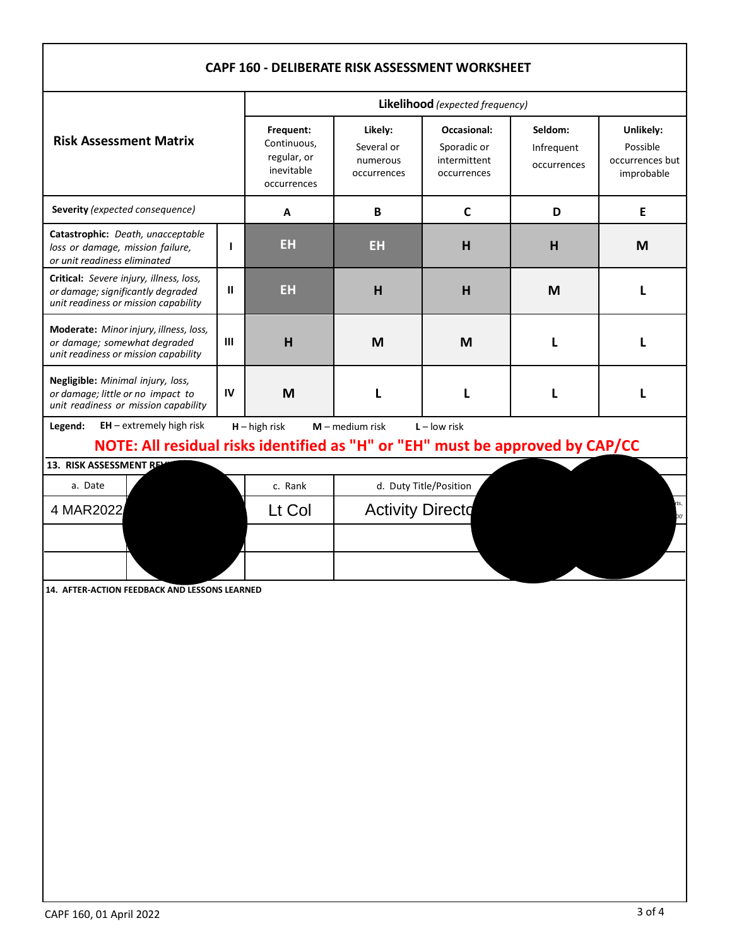| CAPF 160 - DELIBERATE RISK ASSESSMENT WORKSHEET                                                                                                                                   |                                                                      |                                                  |                                                                  |                                      |                                                        |              |  |  |  |
|-----------------------------------------------------------------------------------------------------------------------------------------------------------------------------------|----------------------------------------------------------------------|--------------------------------------------------|------------------------------------------------------------------|--------------------------------------|--------------------------------------------------------|--------------|--|--|--|
|                                                                                                                                                                                   | Likelihood (expected frequency)                                      |                                                  |                                                                  |                                      |                                                        |              |  |  |  |
| <b>Risk Assessment Matrix</b>                                                                                                                                                     | Frequent:<br>Continuous,<br>regular, or<br>inevitable<br>occurrences | Likely:<br>Several or<br>numerous<br>occurrences | <b>Occasional:</b><br>Sporadic or<br>intermittent<br>occurrences | Seldom:<br>Infrequent<br>occurrences | Unlikely:<br>Possible<br>occurrences but<br>improbable |              |  |  |  |
| Severity (expected consequence)                                                                                                                                                   |                                                                      | A                                                | B                                                                | $\mathsf{C}$                         | D                                                      | E            |  |  |  |
| Catastrophic: Death, unacceptable<br>$\mathbf{I}$<br>loss or damage, mission failure,<br>or unit readiness eliminated                                                             |                                                                      | <b>EH</b>                                        | <b>EH</b>                                                        | H                                    | H                                                      | M            |  |  |  |
| Critical: Severe injury, illness, loss,<br>Ш<br>or damage; significantly degraded<br>unit readiness or mission capability                                                         |                                                                      | <b>EH</b>                                        | H                                                                | H                                    | M                                                      | Ι.           |  |  |  |
| Moderate: Minor injury, illness, loss,<br>$\mathbf{m}$<br>or damage; somewhat degraded<br>unit readiness or mission capability                                                    |                                                                      | H                                                | M                                                                | M                                    | L                                                      | $\mathbf{I}$ |  |  |  |
| Negligible: Minimal injury, loss,<br>IV<br>or damage; little or no impact to<br>unit readiness or mission capability                                                              |                                                                      | M                                                |                                                                  | L                                    | L                                                      | $\mathbf{I}$ |  |  |  |
| $EH$ – extremely high risk<br>$H - h$ igh risk<br>$M$ – medium risk<br>$L - low$ risk<br>Legend:<br>NOTE: All residual risks identified as "H" or "EH" must be approved by CAP/CC |                                                                      |                                                  |                                                                  |                                      |                                                        |              |  |  |  |
| 13. RISK ASSESSMENT RE<br>a. Date                                                                                                                                                 |                                                                      | c. Rank                                          |                                                                  | d. Duty Title/Position               |                                                        |              |  |  |  |
| 4 MAR2022                                                                                                                                                                         |                                                                      | Lt Col                                           | <b>Activity Directd</b>                                          |                                      |                                                        | rts,<br>'00  |  |  |  |
|                                                                                                                                                                                   |                                                                      |                                                  |                                                                  |                                      |                                                        |              |  |  |  |
| 14. AFTER-ACTION FEEDBACK AND LESSONS LEARNED                                                                                                                                     |                                                                      |                                                  |                                                                  |                                      |                                                        |              |  |  |  |